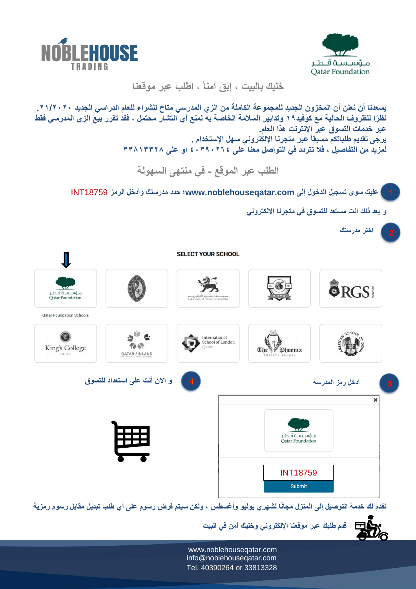



**خليك بالبيت ، إ ْب ق آمنا ، اطلب عبر موقعنا** 

| يسعدنا أن نعلن أن المخزون الجديد للمجموعة الكاملة من الزي المدرسي متاح للشراع للعام الدراسي الجديد ٢١/٢٠٢٠.<br>نظرًا للظروف الحالية مع كوفيد19 وتدابير السلامة الخاصة به لمنع أي انتشار محتمل ، فقد تقرر بيع الزي المدرسي فقط<br>عبر خدمات التسوق عبر الإنترنت هذا العام.<br>يرجى تقديم طلباتكم مسبقاً عبر متجرنا الإلكتروني سهل الإستخدام .<br>لمزيد من التفاصيل ، فلا تتردد في التواصل معنا على ٢٦٤٠٢٩٠ ؛ او على ٣٣٨١٣٣٢٨<br>الطلب عبر الموقع - في منتهى السهولة<br>  عليك سوى تسجيل الدخول إلى www.noblehouseqatar.com؛ حدد مدرستك وأدخل الرمز INT18759 |                                                                                   |                      |                             |
|------------------------------------------------------------------------------------------------------------------------------------------------------------------------------------------------------------------------------------------------------------------------------------------------------------------------------------------------------------------------------------------------------------------------------------------------------------------------------------------------------------------------------------------------------------|-----------------------------------------------------------------------------------|----------------------|-----------------------------|
| و بعد ذلك انت مستعد للتسوق في متجرنا الالكتروني                                                                                                                                                                                                                                                                                                                                                                                                                                                                                                            |                                                                                   |                      |                             |
|                                                                                                                                                                                                                                                                                                                                                                                                                                                                                                                                                            |                                                                                   |                      | اختر مدرستك<br>$\mathbf{2}$ |
| <b>SELECT YOUR SCHOOL</b>                                                                                                                                                                                                                                                                                                                                                                                                                                                                                                                                  |                                                                                   |                      |                             |
| مـؤسـسة قـطـر<br><b>Oatar Foundation</b>                                                                                                                                                                                                                                                                                                                                                                                                                                                                                                                   | مدرســـــة المننـــــزة الاجْليزيــــة<br>PARK HOUSE ENGLISH SCHOOL               |                      | <b>ORGS</b>                 |
| <b>Qatar Foundation Schools</b>                                                                                                                                                                                                                                                                                                                                                                                                                                                                                                                            |                                                                                   |                      |                             |
| King's College<br><b>QATAR-FINLAND</b>                                                                                                                                                                                                                                                                                                                                                                                                                                                                                                                     | International<br>School of London                                                 | The <i>P</i> Phoenix |                             |
| و الآن أنت على استعداد للتسوق                                                                                                                                                                                                                                                                                                                                                                                                                                                                                                                              |                                                                                   |                      | أدخل رمز المدرسة            |
|                                                                                                                                                                                                                                                                                                                                                                                                                                                                                                                                                            | ×<br>مـؤسـسة قـطـر<br><b>Oatar Foundation</b><br><b>INT18759</b><br><b>Submit</b> |                      |                             |

نقدم لك خدمة التوصيل إلى المنزل مجانًا لشهري يوليو وأغسطس ، ولكن سيتم فرض رسوم على أي طلب تبديل مقابل رسوم رمزية

**قدم طلبك عبر موقعنا اإللكتروني وخليك آمن في البيت** 巨心  $\vec{E}_\text{O}$ 

 www.noblehouseqatar.com info@noblehouseqatar.com Tel. 40390264 or 33813328